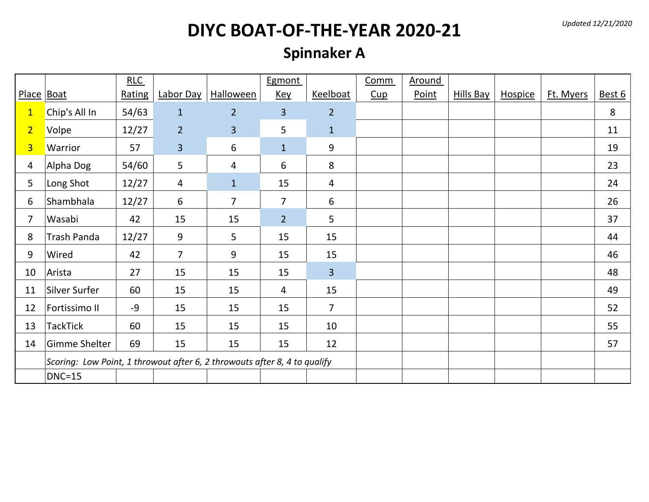*Updated 12/21/2020*

# **DIYC BOAT-OF-THE-YEAR 2020-21**

### **Spinnaker A**

|                |                                                                           | RLC    |                         |                  | Egmont         |                | Comm | <b>Around</b> |                  |         |           |        |
|----------------|---------------------------------------------------------------------------|--------|-------------------------|------------------|----------------|----------------|------|---------------|------------------|---------|-----------|--------|
| Place Boat     |                                                                           | Rating | Labor Day               | <b>Halloween</b> | <b>Key</b>     | Keelboat       | Cup  | Point         | <b>Hills Bay</b> | Hospice | Ft. Myers | Best 6 |
| $\mathbf{1}$   | Chip's All In                                                             | 54/63  | $\mathbf{1}$            | $\overline{2}$   | $\overline{3}$ | $\overline{2}$ |      |               |                  |         |           | 8      |
| $\overline{2}$ | Volpe                                                                     | 12/27  | $\overline{2}$          | $\overline{3}$   | 5              | $\mathbf{1}$   |      |               |                  |         |           | 11     |
| $\overline{3}$ | Warrior                                                                   | 57     | $\overline{\mathbf{3}}$ | 6                | $\mathbf{1}$   | 9              |      |               |                  |         |           | 19     |
| 4              | Alpha Dog                                                                 | 54/60  | 5                       | 4                | 6              | 8              |      |               |                  |         |           | 23     |
| 5              | Long Shot                                                                 | 12/27  | $\overline{4}$          | $\mathbf{1}$     | 15             | 4              |      |               |                  |         |           | 24     |
| 6              | Shambhala                                                                 | 12/27  | 6                       | $\overline{7}$   | $\overline{7}$ | 6              |      |               |                  |         |           | 26     |
| $\overline{7}$ | Wasabi                                                                    | 42     | 15                      | 15               | 2 <sup>2</sup> | 5              |      |               |                  |         |           | 37     |
| 8              | <b>Trash Panda</b>                                                        | 12/27  | 9                       | 5                | 15             | 15             |      |               |                  |         |           | 44     |
| 9              | Wired                                                                     | 42     | $\overline{7}$          | 9                | 15             | 15             |      |               |                  |         |           | 46     |
| 10             | Arista                                                                    | 27     | 15                      | 15               | 15             | $\overline{3}$ |      |               |                  |         |           | 48     |
| 11             | Silver Surfer                                                             | 60     | 15                      | 15               | $\overline{4}$ | 15             |      |               |                  |         |           | 49     |
| 12             | Fortissimo II                                                             | -9     | 15                      | 15               | 15             | $\overline{7}$ |      |               |                  |         |           | 52     |
| 13             | TackTick                                                                  | 60     | 15                      | 15               | 15             | 10             |      |               |                  |         |           | 55     |
| 14             | Gimme Shelter                                                             | 69     | 15                      | 15               | 15             | 12             |      |               |                  |         |           | 57     |
|                | Scoring: Low Point, 1 throwout after 6, 2 throwouts after 8, 4 to qualify |        |                         |                  |                |                |      |               |                  |         |           |        |
|                | $DNC=15$                                                                  |        |                         |                  |                |                |      |               |                  |         |           |        |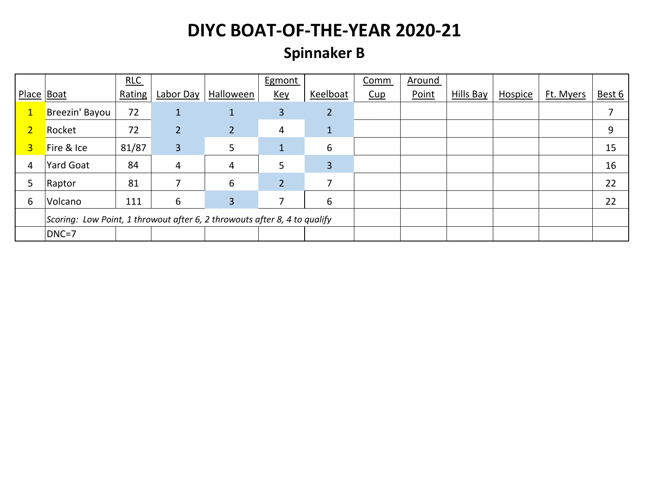### **Spinnaker B**

|                |                                                                           | RLC    |                |                | <b>Egmont</b>  |                | Comm | Around |           |         |           |        |
|----------------|---------------------------------------------------------------------------|--------|----------------|----------------|----------------|----------------|------|--------|-----------|---------|-----------|--------|
| Place   Boat   |                                                                           | Rating | Labor Day      | Halloween      | <u>Key</u>     | Keelboat       | Cup  | Point  | Hills Bay | Hospice | Ft. Myers | Best 6 |
| $\mathbf{1}$   | Breezin' Bayou                                                            | 72     | 1              | 1              | 3              | $\overline{2}$ |      |        |           |         |           | 7      |
| $\overline{2}$ | Rocket                                                                    | 72     | $\overline{2}$ | $\overline{2}$ | 4              | 1              |      |        |           |         |           | 9      |
| $\overline{3}$ | Fire & Ice                                                                | 81/87  | $\overline{3}$ | 5              | $\mathbf{1}$   | 6              |      |        |           |         |           | 15     |
| 4              | <b>Yard Goat</b>                                                          | 84     | 4              | 4              | 5              | 3              |      |        |           |         |           | 16     |
| 5              | Raptor                                                                    | 81     |                | 6              | $\overline{2}$ |                |      |        |           |         |           | 22     |
| 6              | Volcano                                                                   | 111    | 6              | 3              |                | 6              |      |        |           |         |           | 22     |
|                | Scoring: Low Point, 1 throwout after 6, 2 throwouts after 8, 4 to qualify |        |                |                |                |                |      |        |           |         |           |        |
|                | DNC=7                                                                     |        |                |                |                |                |      |        |           |         |           |        |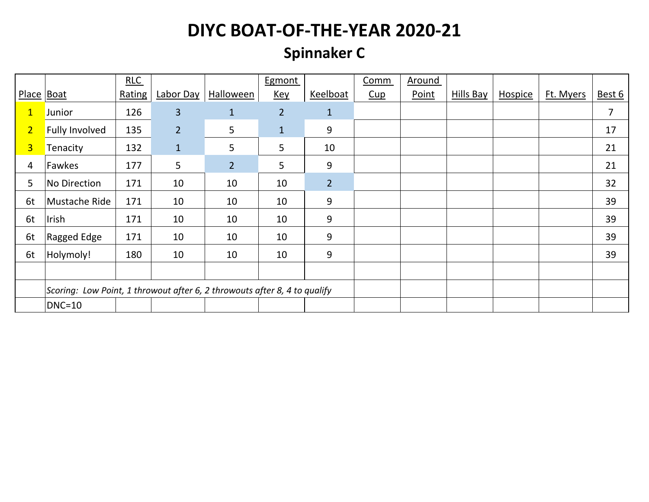## **Spinnaker C**

|                |                                                                           | RLC    |                |                  | Egmont         |                | Comm | Around |                  |         |           |        |
|----------------|---------------------------------------------------------------------------|--------|----------------|------------------|----------------|----------------|------|--------|------------------|---------|-----------|--------|
| Place Boat     |                                                                           | Rating | Labor Day      | <b>Halloween</b> | <u>Key</u>     | Keelboat       | Cup  | Point  | <b>Hills Bay</b> | Hospice | Ft. Myers | Best 6 |
| $\mathbf{1}$   | Junior                                                                    | 126    | 3              | $\mathbf{1}$     | $\overline{2}$ | $\mathbf{1}$   |      |        |                  |         |           | 7      |
| $\overline{2}$ | <b>Fully Involved</b>                                                     | 135    | $\overline{2}$ | 5                | $\mathbf{1}$   | 9              |      |        |                  |         |           | 17     |
| 3 <sup>1</sup> | Tenacity                                                                  | 132    | $\mathbf{1}$   | 5                | 5              | 10             |      |        |                  |         |           | 21     |
| 4              | Fawkes                                                                    | 177    | 5              | $\overline{2}$   | 5              | 9              |      |        |                  |         |           | 21     |
| 5              | <b>No Direction</b>                                                       | 171    | 10             | 10               | 10             | $\overline{2}$ |      |        |                  |         |           | 32     |
| 6t             | Mustache Ride                                                             | 171    | 10             | 10               | 10             | 9              |      |        |                  |         |           | 39     |
| 6t             | Irish                                                                     | 171    | 10             | 10               | 10             | 9              |      |        |                  |         |           | 39     |
| 6t             | Ragged Edge                                                               | 171    | 10             | 10               | 10             | 9              |      |        |                  |         |           | 39     |
| 6t             | Holymoly!                                                                 | 180    | 10             | 10               | 10             | 9              |      |        |                  |         |           | 39     |
|                |                                                                           |        |                |                  |                |                |      |        |                  |         |           |        |
|                | Scoring: Low Point, 1 throwout after 6, 2 throwouts after 8, 4 to qualify |        |                |                  |                |                |      |        |                  |         |           |        |
|                | $DNC=10$                                                                  |        |                |                  |                |                |      |        |                  |         |           |        |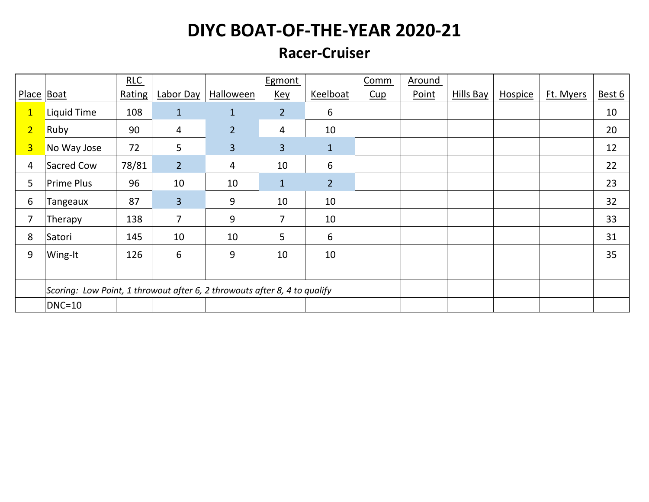#### **Racer-Cruiser**

|                |                                                                           | RLC    |                |                  | Egmont         |                | Comm | <b>Around</b> |                  |         |           |        |
|----------------|---------------------------------------------------------------------------|--------|----------------|------------------|----------------|----------------|------|---------------|------------------|---------|-----------|--------|
| Place Boat     |                                                                           | Rating | Labor Day      | <b>Halloween</b> | <b>Key</b>     | Keelboat       | Cup  | Point         | <b>Hills Bay</b> | Hospice | Ft. Myers | Best 6 |
| $\mathbf{1}$   | Liquid Time                                                               | 108    | $\mathbf{1}$   | $\mathbf{1}$     | 2 <sup>2</sup> | 6              |      |               |                  |         |           | 10     |
| $\overline{2}$ | Ruby                                                                      | 90     | 4              | $\overline{2}$   | 4              | 10             |      |               |                  |         |           | 20     |
| $\overline{3}$ | No Way Jose                                                               | 72     | 5              | 3                | 3              | $\mathbf{1}$   |      |               |                  |         |           | 12     |
| 4              | Sacred Cow                                                                | 78/81  | $\overline{2}$ | 4                | 10             | 6              |      |               |                  |         |           | 22     |
| 5              | Prime Plus                                                                | 96     | 10             | 10               | $\mathbf{1}$   | $\overline{2}$ |      |               |                  |         |           | 23     |
| 6              | Tangeaux                                                                  | 87     | $\overline{3}$ | 9                | 10             | 10             |      |               |                  |         |           | 32     |
| 7              | Therapy                                                                   | 138    | 7              | 9                | 7              | 10             |      |               |                  |         |           | 33     |
| 8              | Satori                                                                    | 145    | 10             | 10               | 5              | 6              |      |               |                  |         |           | 31     |
| 9              | Wing-It                                                                   | 126    | 6              | 9                | 10             | 10             |      |               |                  |         |           | 35     |
|                |                                                                           |        |                |                  |                |                |      |               |                  |         |           |        |
|                | Scoring: Low Point, 1 throwout after 6, 2 throwouts after 8, 4 to qualify |        |                |                  |                |                |      |               |                  |         |           |        |
|                | $DNC=10$                                                                  |        |                |                  |                |                |      |               |                  |         |           |        |